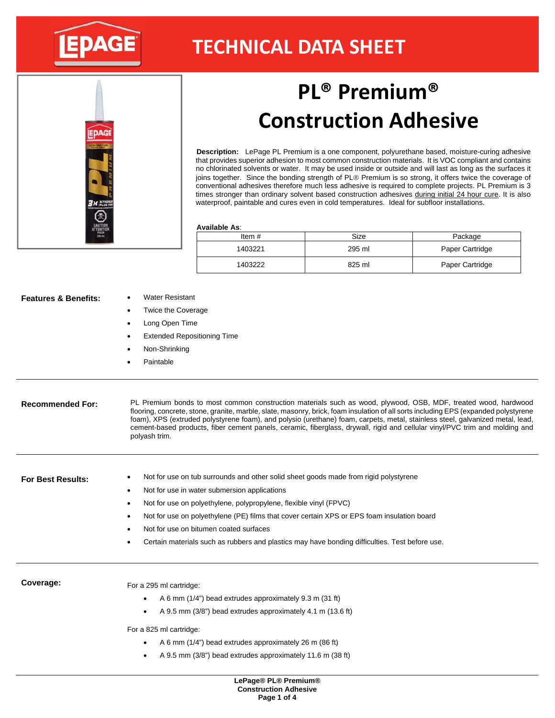



# **PL® Premium® Construction Adhesive**

**Description:** LePage PL Premium is a one component, polyurethane based, moisture-curing adhesive that provides superior adhesion to most common construction materials. It is VOC compliant and contains no chlorinated solvents or water. It may be used inside or outside and will last as long as the surfaces it joins together. Since the bonding strength of PL® Premium is so strong, it offers twice the coverage of conventional adhesives therefore much less adhesive is required to complete projects. PL Premium is 3 times stronger than ordinary solvent based construction adhesives during initial 24 hour cure. It is also waterproof, paintable and cures even in cold temperatures. Ideal for subfloor installations.

## **Available As**:

| Item $#$ | Size   | Package         |
|----------|--------|-----------------|
| 1403221  | 295 ml | Paper Cartridge |
| 1403222  | 825 ml | Paper Cartridge |

| <b>Features &amp; Benefits:</b> | <b>Water Resistant</b>    |
|---------------------------------|---------------------------|
|                                 | <b>Twice the Coverage</b> |

- Long Open Time
- Extended Repositioning Time
- Non-Shrinking
- Paintable

**Recommended For:** PL Premium bonds to most common construction materials such as wood, plywood, OSB, MDF, treated wood, hardwood flooring, concrete, stone, granite, marble, slate, masonry, brick, foam insulation of all sorts including EPS (expanded polystyrene foam), XPS (extruded polystyrene foam), and polysio (urethane) foam, carpets, metal, stainless steel, galvanized metal, lead, cement-based products, fiber cement panels, ceramic, fiberglass, drywall, rigid and cellular vinyl/PVC trim and molding and polyash trim.

- **For Best Results:** Not for use on tub surrounds and other solid sheet goods made from rigid polystyrene
	- Not for use in water submersion applications
	- Not for use on polyethylene, polypropylene, flexible vinyl (FPVC)
	- Not for use on polyethylene (PE) films that cover certain XPS or EPS foam insulation board
	- Not for use on bitumen coated surfaces
	- Certain materials such as rubbers and plastics may have bonding difficulties. Test before use.

**Coverage:** For a 295 ml cartridge:

- - A 6 mm (1/4") bead extrudes approximately 9.3 m (31 ft)
	- A 9.5 mm (3/8") bead extrudes approximately 4.1 m (13.6 ft)

For a 825 ml cartridge:

- A 6 mm (1/4") bead extrudes approximately 26 m (86 ft)
- A 9.5 mm (3/8") bead extrudes approximately 11.6 m (38 ft)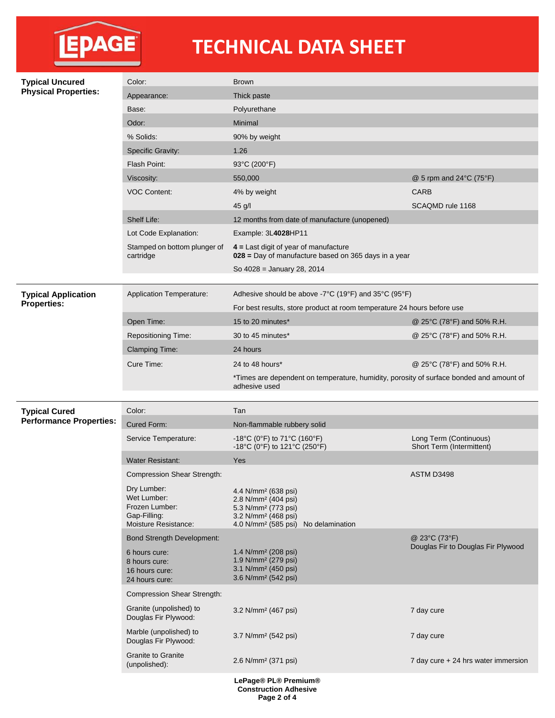

| <b>Typical Uncured</b>                                 | Color:                                                             | <b>Brown</b>                                                                                                                             |                                                     |
|--------------------------------------------------------|--------------------------------------------------------------------|------------------------------------------------------------------------------------------------------------------------------------------|-----------------------------------------------------|
| <b>Physical Properties:</b>                            | Appearance:                                                        | Thick paste                                                                                                                              |                                                     |
|                                                        | Base:                                                              | Polyurethane                                                                                                                             |                                                     |
|                                                        | Odor:                                                              | Minimal                                                                                                                                  |                                                     |
|                                                        | % Solids:                                                          | 90% by weight                                                                                                                            |                                                     |
|                                                        | Specific Gravity:                                                  | 1.26                                                                                                                                     |                                                     |
|                                                        | Flash Point:                                                       | 93°C (200°F)                                                                                                                             |                                                     |
|                                                        | Viscosity:                                                         | 550,000                                                                                                                                  | @ 5 rpm and 24°C (75°F)                             |
|                                                        | <b>VOC Content:</b>                                                | 4% by weight                                                                                                                             | <b>CARB</b>                                         |
|                                                        |                                                                    | 45 g/l                                                                                                                                   | SCAQMD rule 1168                                    |
|                                                        | Shelf Life:                                                        | 12 months from date of manufacture (unopened)                                                                                            |                                                     |
|                                                        | Lot Code Explanation:                                              | Example: 3L4028HP11                                                                                                                      |                                                     |
|                                                        | Stamped on bottom plunger of<br>cartridge                          | $4$ = Last digit of year of manufacture<br>028 = Day of manufacture based on 365 days in a year                                          |                                                     |
|                                                        |                                                                    | So $4028 =$ January 28, 2014                                                                                                             |                                                     |
| <b>Typical Application</b>                             | <b>Application Temperature:</b>                                    | Adhesive should be above -7°C (19°F) and 35°C (95°F)                                                                                     |                                                     |
| <b>Properties:</b>                                     |                                                                    | For best results, store product at room temperature 24 hours before use                                                                  |                                                     |
|                                                        | Open Time:                                                         | 15 to 20 minutes*                                                                                                                        | @ 25°C (78°F) and 50% R.H.                          |
|                                                        | Repositioning Time:                                                | 30 to 45 minutes*                                                                                                                        | @ 25°C (78°F) and 50% R.H.                          |
|                                                        | <b>Clamping Time:</b>                                              | 24 hours                                                                                                                                 |                                                     |
|                                                        | Cure Time:                                                         | 24 to 48 hours*                                                                                                                          | @ 25°C (78°F) and 50% R.H.                          |
|                                                        |                                                                    | *Times are dependent on temperature, humidity, porosity of surface bonded and amount of<br>adhesive used                                 |                                                     |
|                                                        |                                                                    |                                                                                                                                          |                                                     |
| <b>Typical Cured</b><br><b>Performance Properties:</b> | Color:                                                             | Tan                                                                                                                                      |                                                     |
|                                                        | Cured Form:                                                        | Non-flammable rubbery solid                                                                                                              |                                                     |
|                                                        | Service Temperature:                                               | -18°C (0°F) to 71°C (160°F)<br>-18°C (0°F) to 121°C (250°F)                                                                              | Long Term (Continuous)<br>Short Term (Intermittent) |
|                                                        | <b>Water Resistant:</b>                                            | Yes                                                                                                                                      |                                                     |
|                                                        | Compression Shear Strength:                                        |                                                                                                                                          | ASTM D3498                                          |
|                                                        | Dry Lumber:<br>Wet Lumber:<br>Frozen Lumber:                       | 4.4 N/mm <sup>2</sup> (638 psi)<br>2.8 N/mm <sup>2</sup> (404 psi)<br>5.3 N/mm <sup>2</sup> (773 psi)                                    |                                                     |
|                                                        | Gap-Filling:<br>Moisture Resistance:                               | 3.2 N/mm <sup>2</sup> (468 psi)<br>4.0 N/mm <sup>2</sup> (585 psi) No delamination                                                       |                                                     |
|                                                        | <b>Bond Strength Development:</b>                                  |                                                                                                                                          | @ 23°C (73°F)                                       |
|                                                        | 6 hours cure:<br>8 hours cure:<br>16 hours cure:<br>24 hours cure: | 1.4 N/mm <sup>2</sup> (208 psi)<br>1.9 N/mm <sup>2</sup> (279 psi)<br>3.1 N/mm <sup>2</sup> (450 psi)<br>3.6 N/mm <sup>2</sup> (542 psi) | Douglas Fir to Douglas Fir Plywood                  |
|                                                        | <b>Compression Shear Strength:</b>                                 |                                                                                                                                          |                                                     |
|                                                        | Granite (unpolished) to<br>Douglas Fir Plywood:                    | 3.2 N/mm <sup>2</sup> (467 psi)                                                                                                          | 7 day cure                                          |
|                                                        | Marble (unpolished) to<br>Douglas Fir Plywood:                     | 3.7 N/mm <sup>2</sup> (542 psi)                                                                                                          | 7 day cure                                          |
|                                                        | <b>Granite to Granite</b><br>(unpolished):                         | 2.6 N/mm <sup>2</sup> (371 psi)                                                                                                          | 7 day cure $+24$ hrs water immersion                |
|                                                        |                                                                    | LePage® PL® Premium®                                                                                                                     |                                                     |

**Construction Adhesive Page 2 of 4**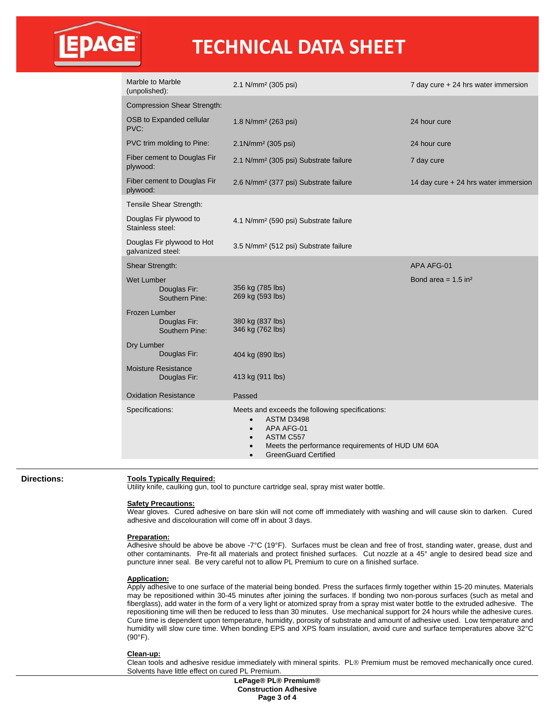

| Marble to Marble<br>(unpolished):               | 2.1 N/mm <sup>2</sup> (305 psi)                                                                                                                                                                                                 | 7 day cure $+ 24$ hrs water immersion |
|-------------------------------------------------|---------------------------------------------------------------------------------------------------------------------------------------------------------------------------------------------------------------------------------|---------------------------------------|
| <b>Compression Shear Strength:</b>              |                                                                                                                                                                                                                                 |                                       |
| OSB to Expanded cellular<br>PVC:                | 1.8 N/mm <sup>2</sup> (263 psi)                                                                                                                                                                                                 | 24 hour cure                          |
| PVC trim molding to Pine:                       | 2.1N/mm <sup>2</sup> (305 psi)                                                                                                                                                                                                  | 24 hour cure                          |
| Fiber cement to Douglas Fir<br>plywood:         | 2.1 N/mm <sup>2</sup> (305 psi) Substrate failure                                                                                                                                                                               | 7 day cure                            |
| Fiber cement to Douglas Fir<br>plywood:         | 2.6 N/mm <sup>2</sup> (377 psi) Substrate failure                                                                                                                                                                               | 14 day cure + 24 hrs water immersion  |
| Tensile Shear Strength:                         |                                                                                                                                                                                                                                 |                                       |
| Douglas Fir plywood to<br>Stainless steel:      | 4.1 N/mm <sup>2</sup> (590 psi) Substrate failure                                                                                                                                                                               |                                       |
| Douglas Fir plywood to Hot<br>galvanized steel: | 3.5 N/mm <sup>2</sup> (512 psi) Substrate failure                                                                                                                                                                               |                                       |
| Shear Strength:                                 |                                                                                                                                                                                                                                 | APA AFG-01                            |
| Wet Lumber<br>Douglas Fir:<br>Southern Pine:    | 356 kg (785 lbs)<br>269 kg (593 lbs)                                                                                                                                                                                            | Bond area = $1.5$ in <sup>2</sup>     |
| Frozen Lumber<br>Douglas Fir:<br>Southern Pine: | 380 kg (837 lbs)<br>346 kg (762 lbs)                                                                                                                                                                                            |                                       |
| Dry Lumber<br>Douglas Fir:                      | 404 kg (890 lbs)                                                                                                                                                                                                                |                                       |
| <b>Moisture Resistance</b><br>Douglas Fir:      | 413 kg (911 lbs)                                                                                                                                                                                                                |                                       |
| <b>Oxidation Resistance</b>                     | Passed                                                                                                                                                                                                                          |                                       |
| Specifications:                                 | Meets and exceeds the following specifications:<br>ASTM D3498<br>$\bullet$<br>APA AFG-01<br>$\bullet$<br>ASTM C557<br>$\bullet$<br>Meets the performance requirements of HUD UM 60A<br>$\bullet$<br><b>GreenGuard Certified</b> |                                       |

## **Directions:** Tools Typically Required:

Utility knife, caulking gun, tool to puncture cartridge seal, spray mist water bottle.

## **Safety Precautions:**

Wear gloves. Cured adhesive on bare skin will not come off immediately with washing and will cause skin to darken. Cured adhesive and discolouration will come off in about 3 days.

### **Preparation:**

Adhesive should be above be above -7°C (19°F). Surfaces must be clean and free of frost, standing water, grease, dust and other contaminants. Pre-fit all materials and protect finished surfaces. Cut nozzle at a 45° angle to desired bead size and puncture inner seal. Be very careful not to allow PL Premium to cure on a finished surface.

### **Application:**

Apply adhesive to one surface of the material being bonded. Press the surfaces firmly together within 15-20 minutes. Materials may be repositioned within 30-45 minutes after joining the surfaces. If bonding two non-porous surfaces (such as metal and fiberglass), add water in the form of a very light or atomized spray from a spray mist water bottle to the extruded adhesive. The repositioning time will then be reduced to less than 30 minutes. Use mechanical support for 24 hours while the adhesive cures. Cure time is dependent upon temperature, humidity, porosity of substrate and amount of adhesive used. Low temperature and humidity will slow cure time. When bonding EPS and XPS foam insulation, avoid cure and surface temperatures above 32°C (90°F).

### **Clean-up:**

Clean tools and adhesive residue immediately with mineral spirits. PL® Premium must be removed mechanically once cured. Solvents have little effect on cured PL Premium.